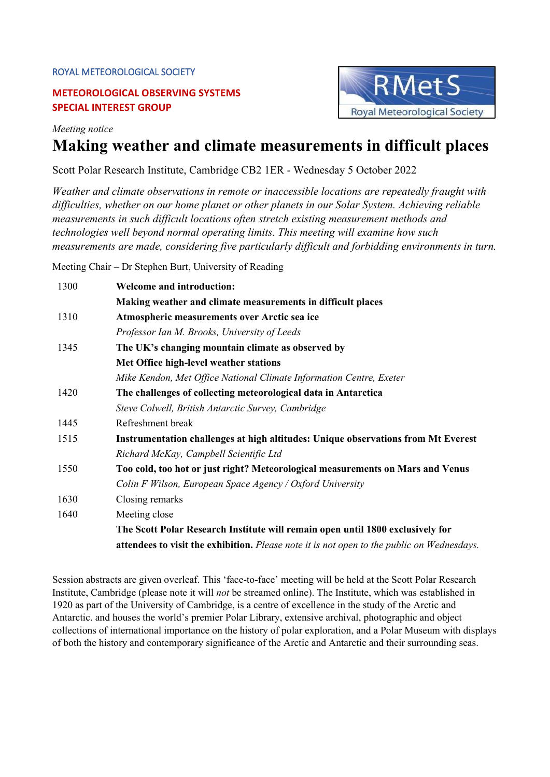#### ROYAL METEOROLOGICAL SOCIETY

## **METEOROLOGICAL OBSERVING SYSTEMS SPECIAL INTEREST GROUP**



*Meeting notice*

# **Making weather and climate measurements in difficult places**

Scott Polar Research Institute, Cambridge CB2 1ER - Wednesday 5 October 2022

*Weather and climate observations in remote or inaccessible locations are repeatedly fraught with difficulties, whether on our home planet or other planets in our Solar System. Achieving reliable measurements in such difficult locations often stretch existing measurement methods and technologies well beyond normal operating limits. This meeting will examine how such measurements are made, considering five particularly difficult and forbidding environments in turn.*

Meeting Chair – Dr Stephen Burt, University of Reading

| 1300 | <b>Welcome and introduction:</b>                                                           |
|------|--------------------------------------------------------------------------------------------|
|      | Making weather and climate measurements in difficult places                                |
| 1310 | Atmospheric measurements over Arctic sea ice                                               |
|      | Professor Ian M. Brooks, University of Leeds                                               |
| 1345 | The UK's changing mountain climate as observed by                                          |
|      | Met Office high-level weather stations                                                     |
|      | Mike Kendon, Met Office National Climate Information Centre, Exeter                        |
| 1420 | The challenges of collecting meteorological data in Antarctica                             |
|      | Steve Colwell, British Antarctic Survey, Cambridge                                         |
| 1445 | Refreshment break                                                                          |
| 1515 | Instrumentation challenges at high altitudes: Unique observations from Mt Everest          |
|      | Richard McKay, Campbell Scientific Ltd                                                     |
| 1550 | Too cold, too hot or just right? Meteorological measurements on Mars and Venus             |
|      | Colin F Wilson, European Space Agency / Oxford University                                  |
| 1630 | Closing remarks                                                                            |
| 1640 | Meeting close                                                                              |
|      | The Scott Polar Research Institute will remain open until 1800 exclusively for             |
|      | attendees to visit the exhibition. Please note it is not open to the public on Wednesdays. |

Session abstracts are given overleaf. This 'face-to-face' meeting will be held at the Scott Polar Research Institute, Cambridge (please note it will *not* be streamed online). The Institute, which was established in 1920 as part of the University of Cambridge, is a centre of excellence in the study of the Arctic and Antarctic. and houses the world's premier Polar Library, extensive archival, photographic and object collections of international importance on the history of polar exploration, and a Polar Museum with displays of both the history and contemporary significance of the Arctic and Antarctic and their surrounding seas.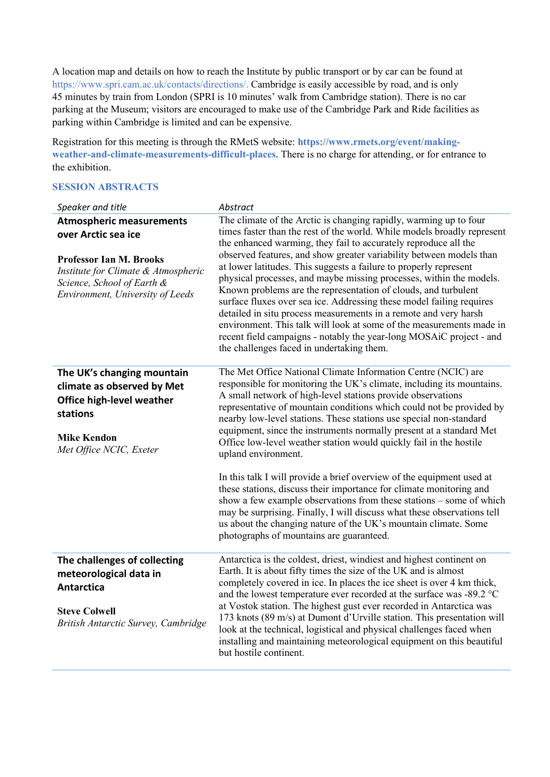A location map and details on how to reach the Institute by public transport or by car can be found at [https://www.spri.cam.ac.uk/contacts/directions/.](https://www.spri.cam.ac.uk/contacts/directions/) Cambridge is easily accessible by road, and is only 45 minutes by train from London (SPRI is 10 minutes' walk from Cambridge station). There is no car parking at the Museum; visitors are encouraged to make use of the Cambridge Park and Ride facilities as parking within Cambridge is limited and can be expensive.

Registration for this meeting is through the RMetS website: **https://www.rmets.org/event/makingweather-and-climate-measurements-difficult-places.** There is no charge for attending, or for entrance to the exhibition.

### **SESSION ABSTRACTS**

| Speaker and title                                                                                                                                                                                 | Abstract                                                                                                                                                                                                                                                                                                                                                                                                                                                                                                                                                                                                                                                                                                                                                                                                                                                                                                                                 |
|---------------------------------------------------------------------------------------------------------------------------------------------------------------------------------------------------|------------------------------------------------------------------------------------------------------------------------------------------------------------------------------------------------------------------------------------------------------------------------------------------------------------------------------------------------------------------------------------------------------------------------------------------------------------------------------------------------------------------------------------------------------------------------------------------------------------------------------------------------------------------------------------------------------------------------------------------------------------------------------------------------------------------------------------------------------------------------------------------------------------------------------------------|
| <b>Atmospheric measurements</b><br>over Arctic sea ice<br><b>Professor Ian M. Brooks</b><br>Institute for Climate & Atmospheric<br>Science, School of Earth &<br>Environment, University of Leeds | The climate of the Arctic is changing rapidly, warming up to four<br>times faster than the rest of the world. While models broadly represent<br>the enhanced warming, they fail to accurately reproduce all the<br>observed features, and show greater variability between models than<br>at lower latitudes. This suggests a failure to properly represent<br>physical processes, and maybe missing processes, within the models.<br>Known problems are the representation of clouds, and turbulent<br>surface fluxes over sea ice. Addressing these model failing requires<br>detailed in situ process measurements in a remote and very harsh<br>environment. This talk will look at some of the measurements made in<br>recent field campaigns - notably the year-long MOSAiC project - and<br>the challenges faced in undertaking them.                                                                                             |
| The UK's changing mountain<br>climate as observed by Met<br>Office high-level weather<br>stations<br><b>Mike Kendon</b><br>Met Office NCIC, Exeter                                                | The Met Office National Climate Information Centre (NCIC) are<br>responsible for monitoring the UK's climate, including its mountains.<br>A small network of high-level stations provide observations<br>representative of mountain conditions which could not be provided by<br>nearby low-level stations. These stations use special non-standard<br>equipment, since the instruments normally present at a standard Met<br>Office low-level weather station would quickly fail in the hostile<br>upland environment.<br>In this talk I will provide a brief overview of the equipment used at<br>these stations, discuss their importance for climate monitoring and<br>show a few example observations from these stations - some of which<br>may be surprising. Finally, I will discuss what these observations tell<br>us about the changing nature of the UK's mountain climate. Some<br>photographs of mountains are guaranteed. |
| The challenges of collecting<br>meteorological data in<br><b>Antarctica</b><br><b>Steve Colwell</b><br>British Antarctic Survey, Cambridge                                                        | Antarctica is the coldest, driest, windiest and highest continent on<br>Earth. It is about fifty times the size of the UK and is almost<br>completely covered in ice. In places the ice sheet is over 4 km thick,<br>and the lowest temperature ever recorded at the surface was -89.2 °C<br>at Vostok station. The highest gust ever recorded in Antarctica was<br>173 knots (89 m/s) at Dumont d'Urville station. This presentation will<br>look at the technical, logistical and physical challenges faced when<br>installing and maintaining meteorological equipment on this beautiful<br>but hostile continent.                                                                                                                                                                                                                                                                                                                    |